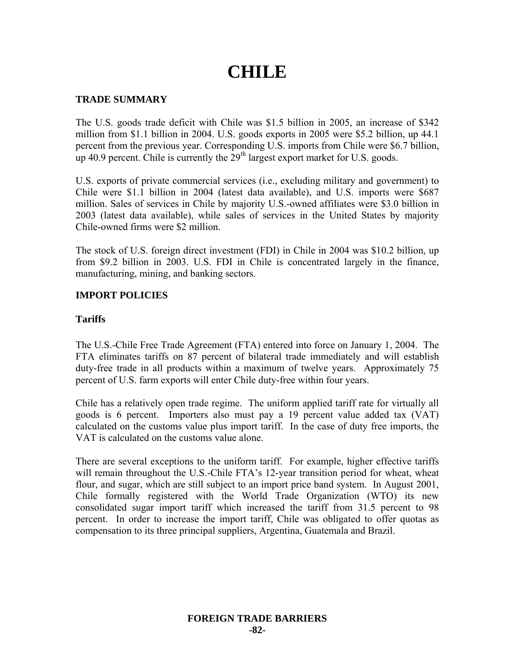# **CHILE**

## **TRADE SUMMARY**

The U.S. goods trade deficit with Chile was \$1.5 billion in 2005, an increase of \$342 million from \$1.1 billion in 2004. U.S. goods exports in 2005 were \$5.2 billion, up 44.1 percent from the previous year. Corresponding U.S. imports from Chile were \$6.7 billion, up 40.9 percent. Chile is currently the  $29<sup>th</sup>$  largest export market for U.S. goods.

U.S. exports of private commercial services (i.e., excluding military and government) to Chile were \$1.1 billion in 2004 (latest data available), and U.S. imports were \$687 million. Sales of services in Chile by majority U.S.-owned affiliates were \$3.0 billion in 2003 (latest data available), while sales of services in the United States by majority Chile-owned firms were \$2 million.

The stock of U.S. foreign direct investment (FDI) in Chile in 2004 was \$10.2 billion, up from \$9.2 billion in 2003. U.S. FDI in Chile is concentrated largely in the finance, manufacturing, mining, and banking sectors.

#### **IMPORT POLICIES**

#### **Tariffs**

The U.S.-Chile Free Trade Agreement (FTA) entered into force on January 1, 2004. The FTA eliminates tariffs on 87 percent of bilateral trade immediately and will establish duty-free trade in all products within a maximum of twelve years. Approximately 75 percent of U.S. farm exports will enter Chile duty-free within four years.

Chile has a relatively open trade regime. The uniform applied tariff rate for virtually all goods is 6 percent. Importers also must pay a 19 percent value added tax (VAT) calculated on the customs value plus import tariff. In the case of duty free imports, the VAT is calculated on the customs value alone.

There are several exceptions to the uniform tariff. For example, higher effective tariffs will remain throughout the U.S.-Chile FTA's 12-year transition period for wheat, wheat flour, and sugar, which are still subject to an import price band system. In August 2001, Chile formally registered with the World Trade Organization (WTO) its new consolidated sugar import tariff which increased the tariff from 31.5 percent to 98 percent. In order to increase the import tariff, Chile was obligated to offer quotas as compensation to its three principal suppliers, Argentina, Guatemala and Brazil.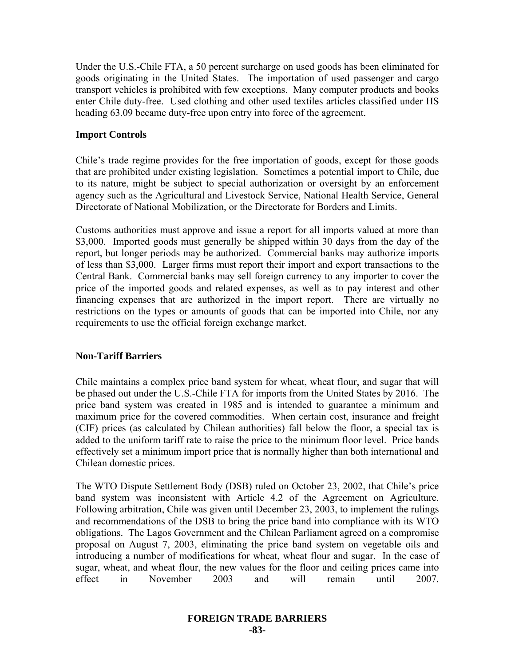Under the U.S.-Chile FTA, a 50 percent surcharge on used goods has been eliminated for goods originating in the United States. The importation of used passenger and cargo transport vehicles is prohibited with few exceptions. Many computer products and books enter Chile duty-free. Used clothing and other used textiles articles classified under HS heading 63.09 became duty-free upon entry into force of the agreement.

## **Import Controls**

Chile's trade regime provides for the free importation of goods, except for those goods that are prohibited under existing legislation. Sometimes a potential import to Chile, due to its nature, might be subject to special authorization or oversight by an enforcement agency such as the Agricultural and Livestock Service, National Health Service, General Directorate of National Mobilization, or the Directorate for Borders and Limits.

Customs authorities must approve and issue a report for all imports valued at more than \$3,000. Imported goods must generally be shipped within 30 days from the day of the report, but longer periods may be authorized. Commercial banks may authorize imports of less than \$3,000. Larger firms must report their import and export transactions to the Central Bank. Commercial banks may sell foreign currency to any importer to cover the price of the imported goods and related expenses, as well as to pay interest and other financing expenses that are authorized in the import report. There are virtually no restrictions on the types or amounts of goods that can be imported into Chile, nor any requirements to use the official foreign exchange market.

## **Non-Tariff Barriers**

Chile maintains a complex price band system for wheat, wheat flour, and sugar that will be phased out under the U.S.-Chile FTA for imports from the United States by 2016. The price band system was created in 1985 and is intended to guarantee a minimum and maximum price for the covered commodities. When certain cost, insurance and freight (CIF) prices (as calculated by Chilean authorities) fall below the floor, a special tax is added to the uniform tariff rate to raise the price to the minimum floor level. Price bands effectively set a minimum import price that is normally higher than both international and Chilean domestic prices.

The WTO Dispute Settlement Body (DSB) ruled on October 23, 2002, that Chile's price band system was inconsistent with Article 4.2 of the Agreement on Agriculture. Following arbitration, Chile was given until December 23, 2003, to implement the rulings and recommendations of the DSB to bring the price band into compliance with its WTO obligations. The Lagos Government and the Chilean Parliament agreed on a compromise proposal on August 7, 2003, eliminating the price band system on vegetable oils and introducing a number of modifications for wheat, wheat flour and sugar. In the case of sugar, wheat, and wheat flour, the new values for the floor and ceiling prices came into effect in November 2003 and will remain until 2007.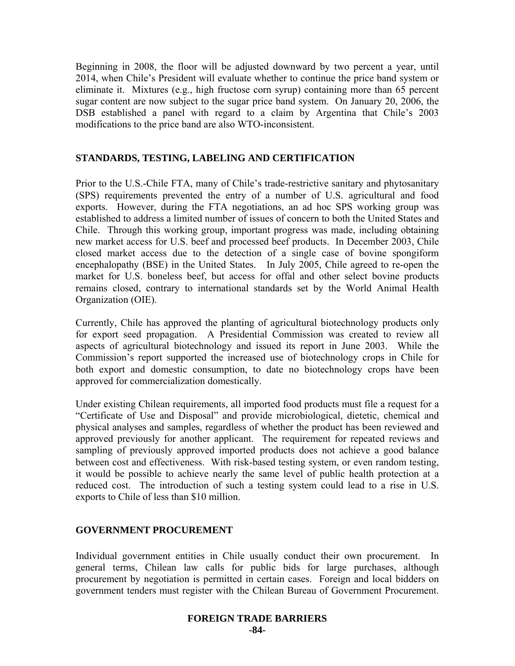Beginning in 2008, the floor will be adjusted downward by two percent a year, until 2014, when Chile's President will evaluate whether to continue the price band system or eliminate it. Mixtures (e.g., high fructose corn syrup) containing more than 65 percent sugar content are now subject to the sugar price band system. On January 20, 2006, the DSB established a panel with regard to a claim by Argentina that Chile's 2003 modifications to the price band are also WTO-inconsistent.

#### **STANDARDS, TESTING, LABELING AND CERTIFICATION**

Prior to the U.S.-Chile FTA, many of Chile's trade-restrictive sanitary and phytosanitary (SPS) requirements prevented the entry of a number of U.S. agricultural and food exports. However, during the FTA negotiations, an ad hoc SPS working group was established to address a limited number of issues of concern to both the United States and Chile. Through this working group, important progress was made, including obtaining new market access for U.S. beef and processed beef products. In December 2003, Chile closed market access due to the detection of a single case of bovine spongiform encephalopathy (BSE) in the United States. In July 2005, Chile agreed to re-open the market for U.S. boneless beef, but access for offal and other select bovine products remains closed, contrary to international standards set by the World Animal Health Organization (OIE).

Currently, Chile has approved the planting of agricultural biotechnology products only for export seed propagation. A Presidential Commission was created to review all aspects of agricultural biotechnology and issued its report in June 2003. While the Commission's report supported the increased use of biotechnology crops in Chile for both export and domestic consumption, to date no biotechnology crops have been approved for commercialization domestically.

Under existing Chilean requirements, all imported food products must file a request for a "Certificate of Use and Disposal" and provide microbiological, dietetic, chemical and physical analyses and samples, regardless of whether the product has been reviewed and approved previously for another applicant. The requirement for repeated reviews and sampling of previously approved imported products does not achieve a good balance between cost and effectiveness. With risk-based testing system, or even random testing, it would be possible to achieve nearly the same level of public health protection at a reduced cost. The introduction of such a testing system could lead to a rise in U.S. exports to Chile of less than \$10 million.

#### **GOVERNMENT PROCUREMENT**

Individual government entities in Chile usually conduct their own procurement. In general terms, Chilean law calls for public bids for large purchases, although procurement by negotiation is permitted in certain cases. Foreign and local bidders on government tenders must register with the Chilean Bureau of Government Procurement.

#### **FOREIGN TRADE BARRIERS -84-**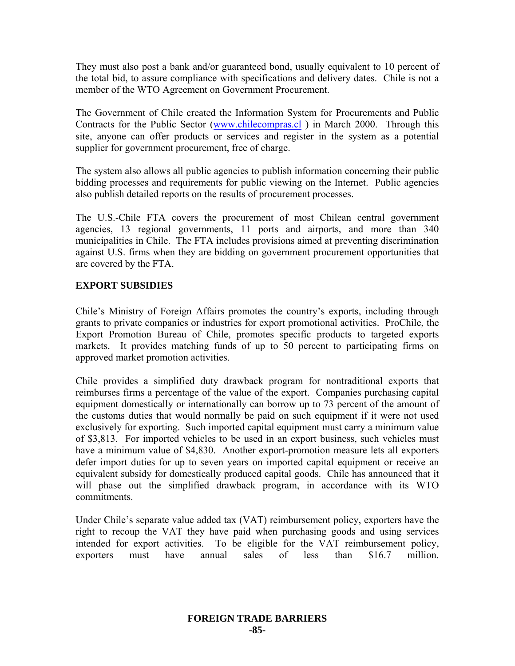They must also post a bank and/or guaranteed bond, usually equivalent to 10 percent of the total bid, to assure compliance with specifications and delivery dates. Chile is not a member of the WTO Agreement on Government Procurement.

The Government of Chile created the Information System for Procurements and Public Contracts for the Public Sector ([www.chilecompras.cl](http://www.chilecompras.cl/)) in March 2000. Through this site, anyone can offer products or services and register in the system as a potential supplier for government procurement, free of charge.

The system also allows all public agencies to publish information concerning their public bidding processes and requirements for public viewing on the Internet. Public agencies also publish detailed reports on the results of procurement processes.

The U.S.-Chile FTA covers the procurement of most Chilean central government agencies, 13 regional governments, 11 ports and airports, and more than 340 municipalities in Chile. The FTA includes provisions aimed at preventing discrimination against U.S. firms when they are bidding on government procurement opportunities that are covered by the FTA.

# **EXPORT SUBSIDIES**

Chile's Ministry of Foreign Affairs promotes the country's exports, including through grants to private companies or industries for export promotional activities. ProChile, the Export Promotion Bureau of Chile, promotes specific products to targeted exports markets. It provides matching funds of up to 50 percent to participating firms on approved market promotion activities.

Chile provides a simplified duty drawback program for nontraditional exports that reimburses firms a percentage of the value of the export. Companies purchasing capital equipment domestically or internationally can borrow up to 73 percent of the amount of the customs duties that would normally be paid on such equipment if it were not used exclusively for exporting. Such imported capital equipment must carry a minimum value of \$3,813. For imported vehicles to be used in an export business, such vehicles must have a minimum value of \$4,830. Another export-promotion measure lets all exporters defer import duties for up to seven years on imported capital equipment or receive an equivalent subsidy for domestically produced capital goods. Chile has announced that it will phase out the simplified drawback program, in accordance with its WTO commitments.

Under Chile's separate value added tax (VAT) reimbursement policy, exporters have the right to recoup the VAT they have paid when purchasing goods and using services intended for export activities. To be eligible for the VAT reimbursement policy, exporters must have annual sales of less than \$16.7 million.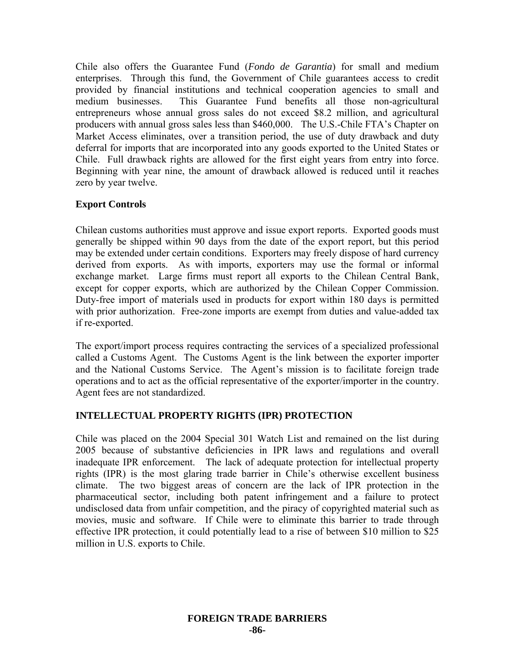Chile also offers the Guarantee Fund (*Fondo de Garantia*) for small and medium enterprises. Through this fund, the Government of Chile guarantees access to credit provided by financial institutions and technical cooperation agencies to small and medium businesses. This Guarantee Fund benefits all those non-agricultural entrepreneurs whose annual gross sales do not exceed \$8.2 million, and agricultural producers with annual gross sales less than \$460,000. The U.S.-Chile FTA's Chapter on Market Access eliminates, over a transition period, the use of duty drawback and duty deferral for imports that are incorporated into any goods exported to the United States or Chile. Full drawback rights are allowed for the first eight years from entry into force. Beginning with year nine, the amount of drawback allowed is reduced until it reaches zero by year twelve.

## **Export Controls**

Chilean customs authorities must approve and issue export reports. Exported goods must generally be shipped within 90 days from the date of the export report, but this period may be extended under certain conditions. Exporters may freely dispose of hard currency derived from exports. As with imports, exporters may use the formal or informal exchange market. Large firms must report all exports to the Chilean Central Bank, except for copper exports, which are authorized by the Chilean Copper Commission. Duty-free import of materials used in products for export within 180 days is permitted with prior authorization. Free-zone imports are exempt from duties and value-added tax if re-exported.

The export/import process requires contracting the services of a specialized professional called a Customs Agent. The Customs Agent is the link between the exporter importer and the National Customs Service. The Agent's mission is to facilitate foreign trade operations and to act as the official representative of the exporter/importer in the country. Agent fees are not standardized.

## **INTELLECTUAL PROPERTY RIGHTS (IPR) PROTECTION**

Chile was placed on the 2004 Special 301 Watch List and remained on the list during 2005 because of substantive deficiencies in IPR laws and regulations and overall inadequate IPR enforcement. The lack of adequate protection for intellectual property rights (IPR) is the most glaring trade barrier in Chile's otherwise excellent business climate. The two biggest areas of concern are the lack of IPR protection in the pharmaceutical sector, including both patent infringement and a failure to protect undisclosed data from unfair competition, and the piracy of copyrighted material such as movies, music and software. If Chile were to eliminate this barrier to trade through effective IPR protection, it could potentially lead to a rise of between \$10 million to \$25 million in U.S. exports to Chile.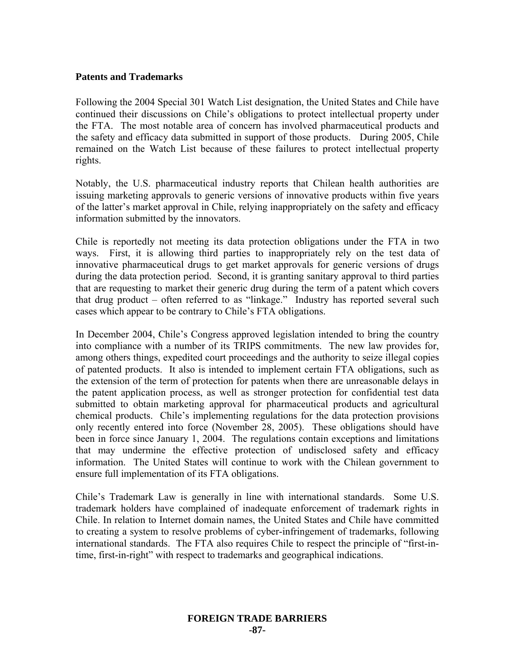#### **Patents and Trademarks**

Following the 2004 Special 301 Watch List designation, the United States and Chile have continued their discussions on Chile's obligations to protect intellectual property under the FTA. The most notable area of concern has involved pharmaceutical products and the safety and efficacy data submitted in support of those products. During 2005, Chile remained on the Watch List because of these failures to protect intellectual property rights.

Notably, the U.S. pharmaceutical industry reports that Chilean health authorities are issuing marketing approvals to generic versions of innovative products within five years of the latter's market approval in Chile, relying inappropriately on the safety and efficacy information submitted by the innovators.

Chile is reportedly not meeting its data protection obligations under the FTA in two ways. First, it is allowing third parties to inappropriately rely on the test data of innovative pharmaceutical drugs to get market approvals for generic versions of drugs during the data protection period. Second, it is granting sanitary approval to third parties that are requesting to market their generic drug during the term of a patent which covers that drug product – often referred to as "linkage." Industry has reported several such cases which appear to be contrary to Chile's FTA obligations.

In December 2004, Chile's Congress approved legislation intended to bring the country into compliance with a number of its TRIPS commitments. The new law provides for, among others things, expedited court proceedings and the authority to seize illegal copies of patented products. It also is intended to implement certain FTA obligations, such as the extension of the term of protection for patents when there are unreasonable delays in the patent application process, as well as stronger protection for confidential test data submitted to obtain marketing approval for pharmaceutical products and agricultural chemical products. Chile's implementing regulations for the data protection provisions only recently entered into force (November 28, 2005). These obligations should have been in force since January 1, 2004. The regulations contain exceptions and limitations that may undermine the effective protection of undisclosed safety and efficacy information. The United States will continue to work with the Chilean government to ensure full implementation of its FTA obligations.

Chile's Trademark Law is generally in line with international standards. Some U.S. trademark holders have complained of inadequate enforcement of trademark rights in Chile. In relation to Internet domain names, the United States and Chile have committed to creating a system to resolve problems of cyber-infringement of trademarks, following international standards. The FTA also requires Chile to respect the principle of "first-intime, first-in-right" with respect to trademarks and geographical indications.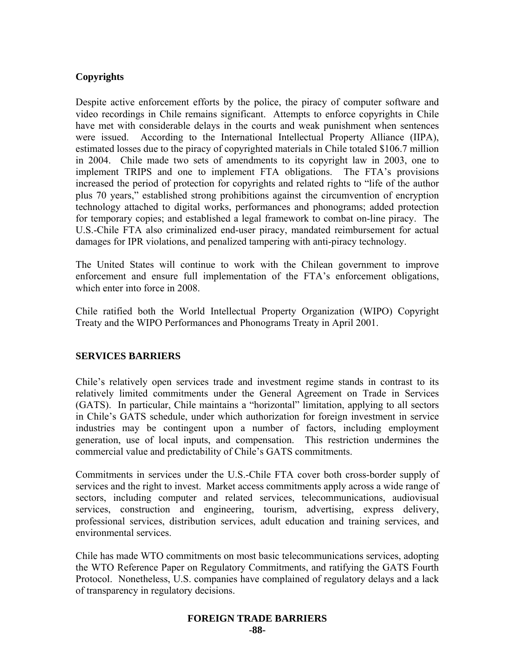## **Copyrights**

Despite active enforcement efforts by the police, the piracy of computer software and video recordings in Chile remains significant. Attempts to enforce copyrights in Chile have met with considerable delays in the courts and weak punishment when sentences were issued. According to the International Intellectual Property Alliance (IIPA), estimated losses due to the piracy of copyrighted materials in Chile totaled \$106.7 million in 2004. Chile made two sets of amendments to its copyright law in 2003, one to implement TRIPS and one to implement FTA obligations. The FTA's provisions increased the period of protection for copyrights and related rights to "life of the author plus 70 years," established strong prohibitions against the circumvention of encryption technology attached to digital works, performances and phonograms; added protection for temporary copies; and established a legal framework to combat on-line piracy. The U.S.-Chile FTA also criminalized end-user piracy, mandated reimbursement for actual damages for IPR violations, and penalized tampering with anti-piracy technology.

The United States will continue to work with the Chilean government to improve enforcement and ensure full implementation of the FTA's enforcement obligations, which enter into force in 2008.

Chile ratified both the World Intellectual Property Organization (WIPO) Copyright Treaty and the WIPO Performances and Phonograms Treaty in April 2001.

## **SERVICES BARRIERS**

Chile's relatively open services trade and investment regime stands in contrast to its relatively limited commitments under the General Agreement on Trade in Services (GATS). In particular, Chile maintains a "horizontal" limitation, applying to all sectors in Chile's GATS schedule, under which authorization for foreign investment in service industries may be contingent upon a number of factors, including employment generation, use of local inputs, and compensation. This restriction undermines the commercial value and predictability of Chile's GATS commitments.

Commitments in services under the U.S.-Chile FTA cover both cross-border supply of services and the right to invest. Market access commitments apply across a wide range of sectors, including computer and related services, telecommunications, audiovisual services, construction and engineering, tourism, advertising, express delivery, professional services, distribution services, adult education and training services, and environmental services.

Chile has made WTO commitments on most basic telecommunications services, adopting the WTO Reference Paper on Regulatory Commitments, and ratifying the GATS Fourth Protocol. Nonetheless, U.S. companies have complained of regulatory delays and a lack of transparency in regulatory decisions.

#### **FOREIGN TRADE BARRIERS -88-**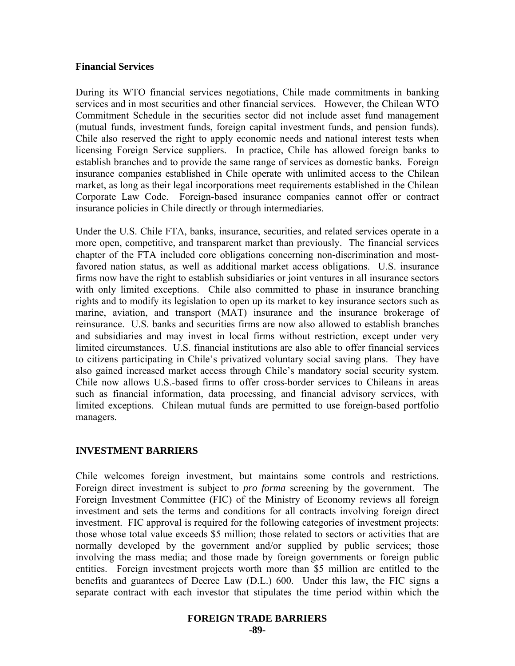#### **Financial Services**

During its WTO financial services negotiations, Chile made commitments in banking services and in most securities and other financial services. However, the Chilean WTO Commitment Schedule in the securities sector did not include asset fund management (mutual funds, investment funds, foreign capital investment funds, and pension funds). Chile also reserved the right to apply economic needs and national interest tests when licensing Foreign Service suppliers. In practice, Chile has allowed foreign banks to establish branches and to provide the same range of services as domestic banks. Foreign insurance companies established in Chile operate with unlimited access to the Chilean market, as long as their legal incorporations meet requirements established in the Chilean Corporate Law Code. Foreign-based insurance companies cannot offer or contract insurance policies in Chile directly or through intermediaries.

Under the U.S. Chile FTA, banks, insurance, securities, and related services operate in a more open, competitive, and transparent market than previously. The financial services chapter of the FTA included core obligations concerning non-discrimination and mostfavored nation status, as well as additional market access obligations. U.S. insurance firms now have the right to establish subsidiaries or joint ventures in all insurance sectors with only limited exceptions. Chile also committed to phase in insurance branching rights and to modify its legislation to open up its market to key insurance sectors such as marine, aviation, and transport (MAT) insurance and the insurance brokerage of reinsurance. U.S. banks and securities firms are now also allowed to establish branches and subsidiaries and may invest in local firms without restriction, except under very limited circumstances. U.S. financial institutions are also able to offer financial services to citizens participating in Chile's privatized voluntary social saving plans. They have also gained increased market access through Chile's mandatory social security system. Chile now allows U.S.-based firms to offer cross-border services to Chileans in areas such as financial information, data processing, and financial advisory services, with limited exceptions. Chilean mutual funds are permitted to use foreign-based portfolio managers.

## **INVESTMENT BARRIERS**

Chile welcomes foreign investment, but maintains some controls and restrictions. Foreign direct investment is subject to *pro forma* screening by the government. The Foreign Investment Committee (FIC) of the Ministry of Economy reviews all foreign investment and sets the terms and conditions for all contracts involving foreign direct investment. FIC approval is required for the following categories of investment projects: those whose total value exceeds \$5 million; those related to sectors or activities that are normally developed by the government and/or supplied by public services; those involving the mass media; and those made by foreign governments or foreign public entities. Foreign investment projects worth more than \$5 million are entitled to the benefits and guarantees of Decree Law (D.L.) 600. Under this law, the FIC signs a separate contract with each investor that stipulates the time period within which the

## **FOREIGN TRADE BARRIERS**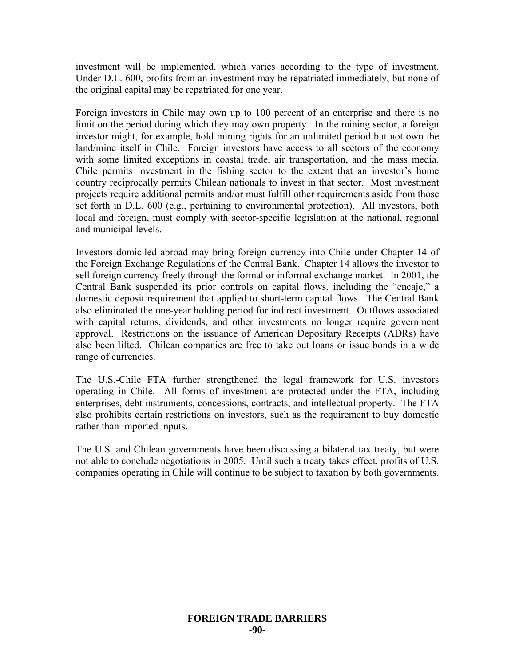investment will be implemented, which varies according to the type of investment. Under D.L. 600, profits from an investment may be repatriated immediately, but none of the original capital may be repatriated for one year.

Foreign investors in Chile may own up to 100 percent of an enterprise and there is no limit on the period during which they may own property. In the mining sector, a foreign investor might, for example, hold mining rights for an unlimited period but not own the land/mine itself in Chile. Foreign investors have access to all sectors of the economy with some limited exceptions in coastal trade, air transportation, and the mass media. Chile permits investment in the fishing sector to the extent that an investor's home country reciprocally permits Chilean nationals to invest in that sector. Most investment projects require additional permits and/or must fulfill other requirements aside from those set forth in D.L. 600 (e.g., pertaining to environmental protection). All investors, both local and foreign, must comply with sector-specific legislation at the national, regional and municipal levels.

Investors domiciled abroad may bring foreign currency into Chile under Chapter 14 of the Foreign Exchange Regulations of the Central Bank. Chapter 14 allows the investor to sell foreign currency freely through the formal or informal exchange market. In 2001, the Central Bank suspended its prior controls on capital flows, including the "encaje," a domestic deposit requirement that applied to short-term capital flows. The Central Bank also eliminated the one-year holding period for indirect investment. Outflows associated with capital returns, dividends, and other investments no longer require government approval. Restrictions on the issuance of American Depositary Receipts (ADRs) have also been lifted. Chilean companies are free to take out loans or issue bonds in a wide range of currencies.

The U.S.-Chile FTA further strengthened the legal framework for U.S. investors operating in Chile. All forms of investment are protected under the FTA, including enterprises, debt instruments, concessions, contracts, and intellectual property. The FTA also prohibits certain restrictions on investors, such as the requirement to buy domestic rather than imported inputs.

The U.S. and Chilean governments have been discussing a bilateral tax treaty, but were not able to conclude negotiations in 2005. Until such a treaty takes effect, profits of U.S. companies operating in Chile will continue to be subject to taxation by both governments.